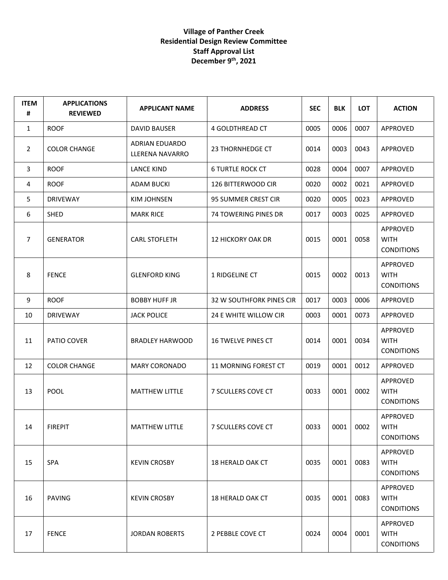## **Village of Panther Creek Residential Design Review Committee Staff Approval List December 9th, 2021**

| <b>ITEM</b><br># | <b>APPLICATIONS</b><br><b>REVIEWED</b> | <b>APPLICANT NAME</b>             | <b>ADDRESS</b>            | <b>SEC</b> | <b>BLK</b> | <b>LOT</b> | <b>ACTION</b>                                |
|------------------|----------------------------------------|-----------------------------------|---------------------------|------------|------------|------------|----------------------------------------------|
| $\mathbf{1}$     | <b>ROOF</b>                            | <b>DAVID BAUSER</b>               | 4 GOLDTHREAD CT           | 0005       | 0006       | 0007       | APPROVED                                     |
| $\overline{2}$   | <b>COLOR CHANGE</b>                    | ADRIAN EDUARDO<br>LLERENA NAVARRO | 23 THORNHEDGE CT          | 0014       | 0003       | 0043       | APPROVED                                     |
| 3                | <b>ROOF</b>                            | <b>LANCE KIND</b>                 | <b>6 TURTLE ROCK CT</b>   | 0028       | 0004       | 0007       | APPROVED                                     |
| 4                | <b>ROOF</b>                            | <b>ADAM BUCKI</b>                 | 126 BITTERWOOD CIR        | 0020       | 0002       | 0021       | APPROVED                                     |
| 5                | <b>DRIVEWAY</b>                        | <b>KIM JOHNSEN</b>                | 95 SUMMER CREST CIR       | 0020       | 0005       | 0023       | APPROVED                                     |
| 6                | <b>SHED</b>                            | <b>MARK RICE</b>                  | 74 TOWERING PINES DR      | 0017       | 0003       | 0025       | APPROVED                                     |
| $\overline{7}$   | <b>GENERATOR</b>                       | <b>CARL STOFLETH</b>              | <b>12 HICKORY OAK DR</b>  | 0015       | 0001       | 0058       | APPROVED<br><b>WITH</b><br><b>CONDITIONS</b> |
| 8                | <b>FENCE</b>                           | <b>GLENFORD KING</b>              | 1 RIDGELINE CT            | 0015       | 0002       | 0013       | APPROVED<br><b>WITH</b><br><b>CONDITIONS</b> |
| 9                | <b>ROOF</b>                            | <b>BOBBY HUFF JR</b>              | 32 W SOUTHFORK PINES CIR  | 0017       | 0003       | 0006       | APPROVED                                     |
| 10               | <b>DRIVEWAY</b>                        | <b>JACK POLICE</b>                | 24 E WHITE WILLOW CIR     | 0003       | 0001       | 0073       | APPROVED                                     |
| 11               | PATIO COVER                            | <b>BRADLEY HARWOOD</b>            | <b>16 TWELVE PINES CT</b> | 0014       | 0001       | 0034       | APPROVED<br><b>WITH</b><br><b>CONDITIONS</b> |
| 12               | <b>COLOR CHANGE</b>                    | <b>MARY CORONADO</b>              | 11 MORNING FOREST CT      | 0019       | 0001       | 0012       | APPROVED                                     |
| 13               | <b>POOL</b>                            | <b>MATTHEW LITTLE</b>             | 7 SCULLERS COVE CT        | 0033       | 0001       | 0002       | APPROVED<br><b>WITH</b><br><b>CONDITIONS</b> |
| 14               | <b>FIREPIT</b>                         | <b>MATTHEW LITTLE</b>             | 7 SCULLERS COVE CT        | 0033       | 0001       | 0002       | APPROVED<br><b>WITH</b><br><b>CONDITIONS</b> |
| 15               | <b>SPA</b>                             | <b>KEVIN CROSBY</b>               | 18 HERALD OAK CT          | 0035       | 0001       | 0083       | APPROVED<br><b>WITH</b><br><b>CONDITIONS</b> |
| 16               | <b>PAVING</b>                          | <b>KEVIN CROSBY</b>               | <b>18 HERALD OAK CT</b>   | 0035       | 0001       | 0083       | APPROVED<br><b>WITH</b><br><b>CONDITIONS</b> |
| 17               | <b>FENCE</b>                           | <b>JORDAN ROBERTS</b>             | 2 PEBBLE COVE CT          | 0024       | 0004       | 0001       | APPROVED<br><b>WITH</b><br><b>CONDITIONS</b> |